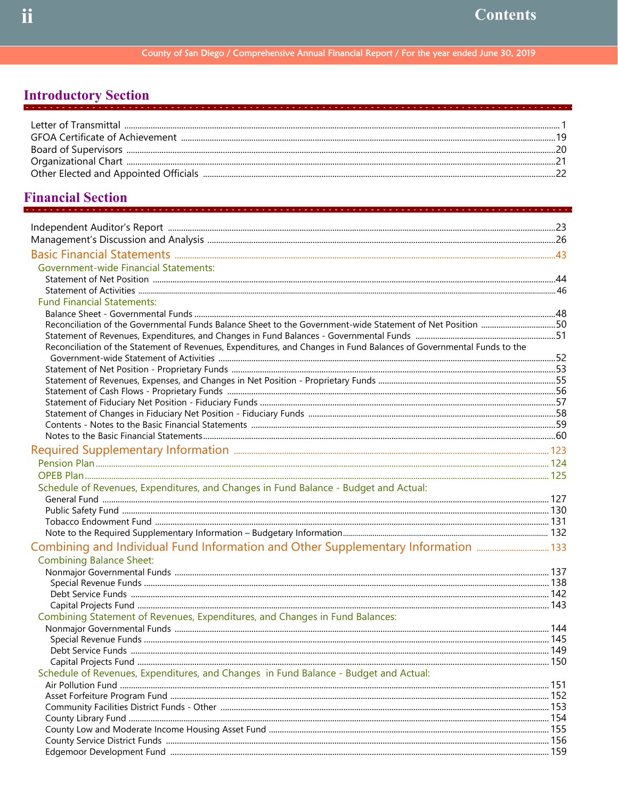## **Introductory Section**

## **Financial Section**

| <b>Government-wide Financial Statements:</b>                                                                         |  |
|----------------------------------------------------------------------------------------------------------------------|--|
|                                                                                                                      |  |
|                                                                                                                      |  |
| <b>Fund Financial Statements:</b>                                                                                    |  |
|                                                                                                                      |  |
| Reconciliation of the Governmental Funds Balance Sheet to the Government-wide Statement of Net Position 50           |  |
|                                                                                                                      |  |
| Reconciliation of the Statement of Revenues, Expenditures, and Changes in Fund Balances of Governmental Funds to the |  |
|                                                                                                                      |  |
|                                                                                                                      |  |
|                                                                                                                      |  |
|                                                                                                                      |  |
|                                                                                                                      |  |
|                                                                                                                      |  |
|                                                                                                                      |  |
|                                                                                                                      |  |
|                                                                                                                      |  |
|                                                                                                                      |  |
|                                                                                                                      |  |
| Schedule of Revenues, Expenditures, and Changes in Fund Balance - Budget and Actual:                                 |  |
|                                                                                                                      |  |
|                                                                                                                      |  |
|                                                                                                                      |  |
|                                                                                                                      |  |
| Combining and Individual Fund Information and Other Supplementary Information                                        |  |
| <b>Combining Balance Sheet:</b>                                                                                      |  |
|                                                                                                                      |  |
|                                                                                                                      |  |
|                                                                                                                      |  |
|                                                                                                                      |  |
| Combining Statement of Revenues, Expenditures, and Changes in Fund Balances:                                         |  |
|                                                                                                                      |  |
|                                                                                                                      |  |
|                                                                                                                      |  |
|                                                                                                                      |  |
| Schedule of Revenues, Expenditures, and Changes in Fund Balance - Budget and Actual:                                 |  |
|                                                                                                                      |  |
|                                                                                                                      |  |
|                                                                                                                      |  |
|                                                                                                                      |  |
|                                                                                                                      |  |
|                                                                                                                      |  |
|                                                                                                                      |  |